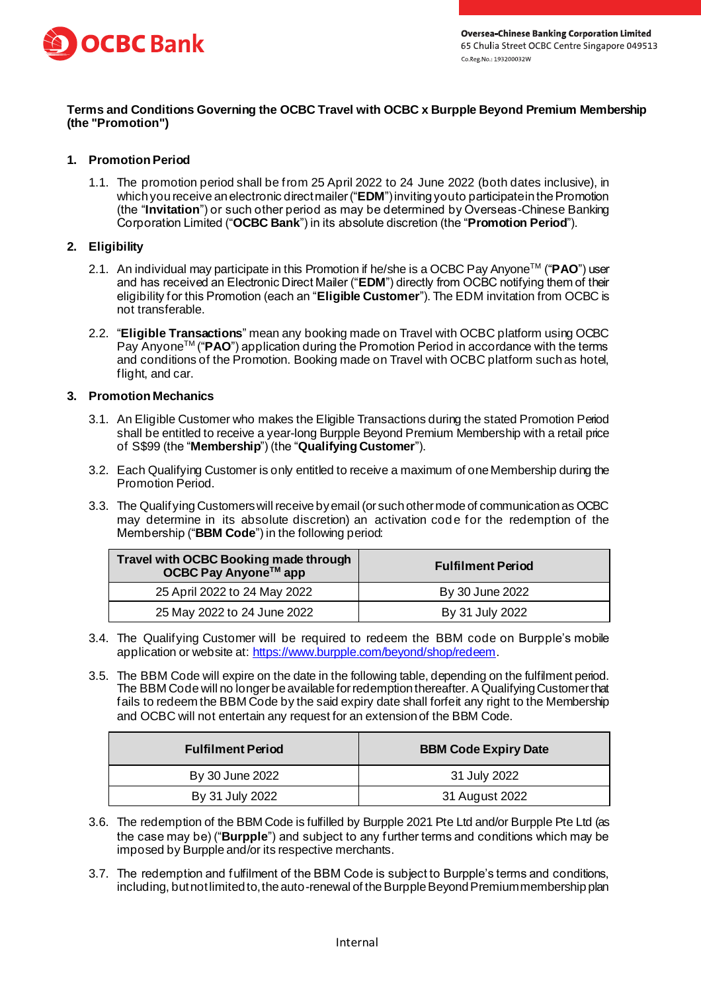

# **Terms and Conditions Governing the OCBC Travel with OCBC x Burpple Beyond Premium Membership (the "Promotion")**

## **1. Promotion Period**

1.1. The promotion period shall be from 25 April 2022 to 24 June 2022 (both dates inclusive), in which you receive anelectronic direct mailer ("**EDM**") inviting you to participate in the Promotion (the "**Invitation**") or such other period as may be determined by Overseas-Chinese Banking Corporation Limited ("**OCBC Bank**") in its absolute discretion (the "**Promotion Period**").

### **2. Eligibility**

- 2.1. An individual may participate in this Promotion if he/she is a OCBC Pay AnyoneTM ("**PAO**") user and has received an Electronic Direct Mailer ("**EDM**") directly from OCBC notifying them of their eligibility for this Promotion (each an "**Eligible Customer**"). The EDM invitation from OCBC is not transferable.
- 2.2. "**Eligible Transactions**" mean any booking made on Travel with OCBC platform using OCBC Pay Anyone<sup>™</sup> ("**PAO**") application during the Promotion Period in accordance with the terms and conditions of the Promotion. Booking made on Travel with OCBC platform such as hotel, flight, and car.

#### **3. Promotion Mechanics**

- 3.1. An Eligible Customer who makes the Eligible Transactions during the stated Promotion Period shall be entitled to receive a year-long Burpple Beyond Premium Membership with a retail price of S\$99 (the "**Membership**") (the "**Qualifying Customer**").
- 3.2. Each Qualifying Customer is only entitled to receive a maximum of one Membership during the Promotion Period.
- 3.3. The Qualifying Customers will receive by email (or such other mode of communication as OCBC may determine in its absolute discretion) an activation code for the redemption of the Membership ("**BBM Code**") in the following period:

| Travel with OCBC Booking made through<br>OCBC Pay Anyone™ app | <b>Fulfilment Period</b> |
|---------------------------------------------------------------|--------------------------|
| 25 April 2022 to 24 May 2022                                  | By 30 June 2022          |
| 25 May 2022 to 24 June 2022                                   | By 31 July 2022          |

- 3.4. The Qualifying Customer will be required to redeem the BBM code on Burpple's mobile application or website at[: https://www.burpple.com/beyond/shop/redeem](https://www.burpple.com/beyond/shop/redeem).
- 3.5. The BBM Code will expire on the date in the following table, depending on the fulfilment period. The BBM Code will no longer be available for redemption thereafter. A Qualifying Customer that fails to redeem the BBM Code by the said expiry date shall forfeit any right to the Membership and OCBC will not entertain any request for an extension of the BBM Code.

| <b>Fulfilment Period</b> | <b>BBM Code Expiry Date</b> |
|--------------------------|-----------------------------|
| By 30 June 2022          | 31 July 2022                |
| By 31 July 2022          | 31 August 2022              |

- 3.6. The redemption of the BBM Code is fulfilled by Burpple 2021 Pte Ltd and/or Burpple Pte Ltd (as the case may be) ("**Burpple**") and subject to any further terms and conditions which may be imposed by Burpple and/or its respective merchants.
- 3.7. The redemption and fulfilment of the BBM Code is subject to Burpple's terms and conditions, including, but not limited to, the auto-renewal of the Burpple Beyond Premium membership plan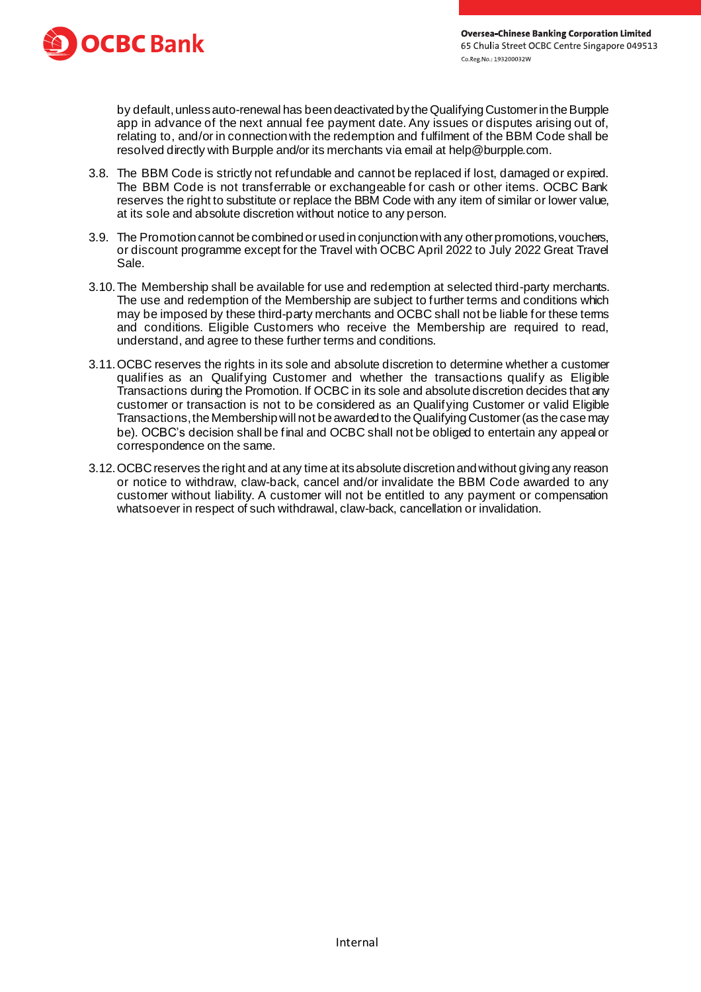

by default, unless auto-renewal has been deactivated by the Qualifying Customer in the Burpple app in advance of the next annual fee payment date. Any issues or disputes arising out of, relating to, and/or in connection with the redemption and fulfilment of the BBM Code shall be resolved directly with Burpple and/or its merchants via email at help@burpple.com.

- 3.8. The BBM Code is strictly not refundable and cannot be replaced if lost, damaged or expired. The BBM Code is not transferrable or exchangeable for cash or other items. OCBC Bank reserves the right to substitute or replace the BBM Code with any item of similar or lower value, at its sole and absolute discretion without notice to any person.
- 3.9. The Promotion cannot be combined or used in conjunction with any other promotions, vouchers, or discount programme except for the Travel with OCBC April 2022 to July 2022 Great Travel Sale.
- 3.10.The Membership shall be available for use and redemption at selected third-party merchants. The use and redemption of the Membership are subject to further terms and conditions which may be imposed by these third-party merchants and OCBC shall not be liable for these terms and conditions. Eligible Customers who receive the Membership are required to read, understand, and agree to these further terms and conditions.
- 3.11.OCBC reserves the rights in its sole and absolute discretion to determine whether a customer qualifies as an Qualifying Customer and whether the transactions qualify as Eligible Transactions during the Promotion. If OCBC in its sole and absolute discretion decides that any customer or transaction is not to be considered as an Qualifying Customer or valid Eligible Transactions, the Membership will not be awarded to the Qualifying Customer (as the case may be). OCBC's decision shall be final and OCBC shall not be obliged to entertain any appeal or correspondence on the same.
- 3.12.OCBC reserves the right and at any time at its absolute discretion and without giving any reason or notice to withdraw, claw-back, cancel and/or invalidate the BBM Code awarded to any customer without liability. A customer will not be entitled to any payment or compensation whatsoever in respect of such withdrawal, claw-back, cancellation or invalidation.